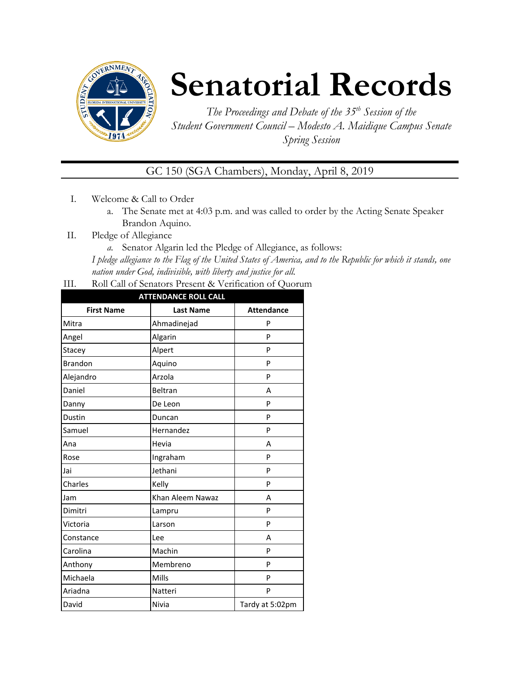

# **Senatorial Records**

*The Proceedings and Debate of the 35 th Session of the Student Government Council – Modesto A. Maidique Campus Senate Spring Session*

GC 150 (SGA Chambers), Monday, April 8, 2019

- I. Welcome & Call to Order
	- a. The Senate met at 4:03 p.m. and was called to order by the Acting Senate Speaker Brandon Aquino.
- II. Pledge of Allegiance
	- *a.* Senator Algarin led the Pledge of Allegiance, as follows:

*I pledge allegiance to the Flag of the United States of America, and to the Republic for which it stands, one nation under God, indivisible, with liberty and justice for all.*

III. Roll Call of Senators Present & Verification of Quorum

| <b>ATTENDANCE ROLL CALL</b> |                  |                   |  |
|-----------------------------|------------------|-------------------|--|
| <b>First Name</b>           | <b>Last Name</b> | <b>Attendance</b> |  |
| Mitra                       | Ahmadinejad      | P                 |  |
| Angel                       | Algarin          | P                 |  |
| Stacey                      | Alpert           | P                 |  |
| <b>Brandon</b>              | Aquino           | P                 |  |
| Alejandro                   | Arzola           | P                 |  |
| Daniel                      | Beltran          | A                 |  |
| Danny                       | De Leon          | P                 |  |
| Dustin                      | Duncan           | P                 |  |
| Samuel                      | Hernandez        | P                 |  |
| Ana                         | Hevia            | A                 |  |
| Rose                        | Ingraham         | P                 |  |
| Jai                         | Jethani          | P                 |  |
| Charles                     | Kelly            | P                 |  |
| Jam                         | Khan Aleem Nawaz | A                 |  |
| Dimitri                     | Lampru           | P                 |  |
| Victoria                    | Larson           | P                 |  |
| Constance                   | Lee              | A                 |  |
| Carolina                    | Machin           | P                 |  |
| Anthony                     | Membreno         | P                 |  |
| Michaela                    | Mills            | P                 |  |
| Ariadna                     | Natteri          | P                 |  |
| David                       | Nivia            | Tardy at 5:02pm   |  |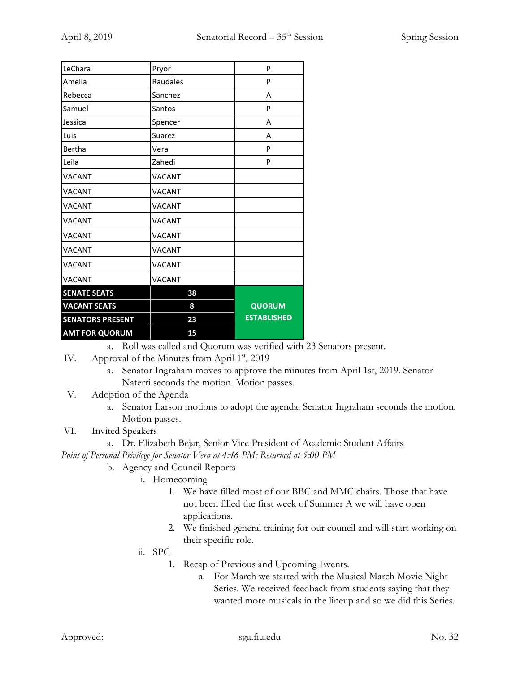| LeChara                 | Pryor         | P                  |
|-------------------------|---------------|--------------------|
| Amelia                  | Raudales      | P                  |
| Rebecca                 | Sanchez       | A                  |
| Samuel                  | Santos        | P                  |
| Jessica                 | Spencer       | A                  |
| Luis                    | Suarez        | A                  |
| Bertha                  | Vera          | P                  |
| Leila                   | Zahedi        | P                  |
| <b>VACANT</b>           | <b>VACANT</b> |                    |
| <b>VACANT</b>           | <b>VACANT</b> |                    |
| <b>VACANT</b>           | <b>VACANT</b> |                    |
| <b>VACANT</b>           | <b>VACANT</b> |                    |
| <b>VACANT</b>           | <b>VACANT</b> |                    |
| <b>VACANT</b>           | <b>VACANT</b> |                    |
| <b>VACANT</b>           | <b>VACANT</b> |                    |
| <b>VACANT</b>           | <b>VACANT</b> |                    |
| <b>SENATE SEATS</b>     | 38            |                    |
| <b>VACANT SEATS</b>     | 8             | <b>QUORUM</b>      |
| <b>SENATORS PRESENT</b> | 23            | <b>ESTABLISHED</b> |
| <b>AMT FOR QUORUM</b>   | 15            |                    |

a. Roll was called and Quorum was verified with 23 Senators present.

- IV. Approval of the Minutes from April 1<sup>st</sup>, 2019
	- a. Senator Ingraham moves to approve the minutes from April 1st, 2019. Senator Naterri seconds the motion. Motion passes.
- V. Adoption of the Agenda
	- a. Senator Larson motions to adopt the agenda. Senator Ingraham seconds the motion. Motion passes.

## VI. Invited Speakers

- a. Dr. Elizabeth Bejar, Senior Vice President of Academic Student Affairs *Point of Personal Privilege for Senator Vera at 4:46 PM; Returned at 5:00 PM*
	- b. Agency and Council Reports
		- i. Homecoming
			- 1. We have filled most of our BBC and MMC chairs. Those that have not been filled the first week of Summer A we will have open applications.
			- 2. We finished general training for our council and will start working on their specific role.
		- ii. SPC
			- 1. Recap of Previous and Upcoming Events.
				- a. For March we started with the Musical March Movie Night Series. We received feedback from students saying that they wanted more musicals in the lineup and so we did this Series.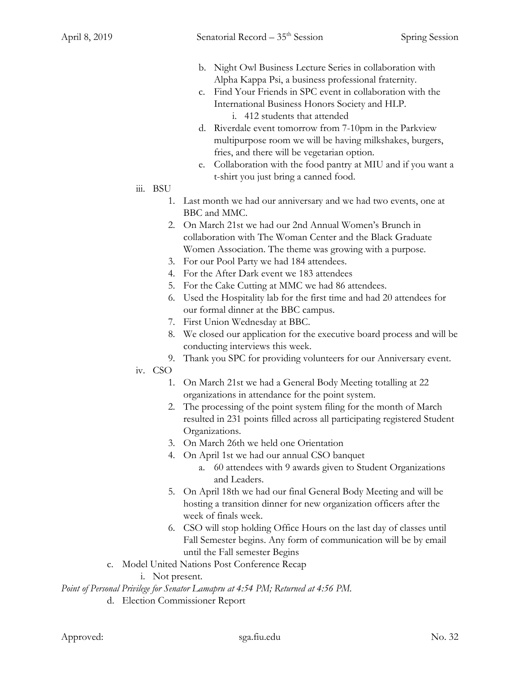- b. Night Owl Business Lecture Series in collaboration with Alpha Kappa Psi, a business professional fraternity.
- c. Find Your Friends in SPC event in collaboration with the International Business Honors Society and HLP. i. 412 students that attended
- d. Riverdale event tomorrow from 7-10pm in the Parkview multipurpose room we will be having milkshakes, burgers, fries, and there will be vegetarian option.
- e. Collaboration with the food pantry at MIU and if you want a t-shirt you just bring a canned food.
- iii. BSU
	- 1. Last month we had our anniversary and we had two events, one at BBC and MMC.
	- 2. On March 21st we had our 2nd Annual Women's Brunch in collaboration with The Woman Center and the Black Graduate Women Association. The theme was growing with a purpose.
	- 3. For our Pool Party we had 184 attendees.
	- 4. For the After Dark event we 183 attendees
	- 5. For the Cake Cutting at MMC we had 86 attendees.
	- 6. Used the Hospitality lab for the first time and had 20 attendees for our formal dinner at the BBC campus.
	- 7. First Union Wednesday at BBC.
	- 8. We closed our application for the executive board process and will be conducting interviews this week.
	- 9. Thank you SPC for providing volunteers for our Anniversary event.
- iv. CSO
	- 1. On March 21st we had a General Body Meeting totalling at 22 organizations in attendance for the point system.
	- 2. The processing of the point system filing for the month of March resulted in 231 points filled across all participating registered Student Organizations.
	- 3. On March 26th we held one Orientation
	- 4. On April 1st we had our annual CSO banquet
		- a. 60 attendees with 9 awards given to Student Organizations and Leaders.
	- 5. On April 18th we had our final General Body Meeting and will be hosting a transition dinner for new organization officers after the week of finals week.
	- 6. CSO will stop holding Office Hours on the last day of classes until Fall Semester begins. Any form of communication will be by email until the Fall semester Begins
- c. Model United Nations Post Conference Recap

i. Not present.

*Point of Personal Privilege for Senator Lamapru at 4:54 PM; Returned at 4:56 PM.*

d. Election Commissioner Report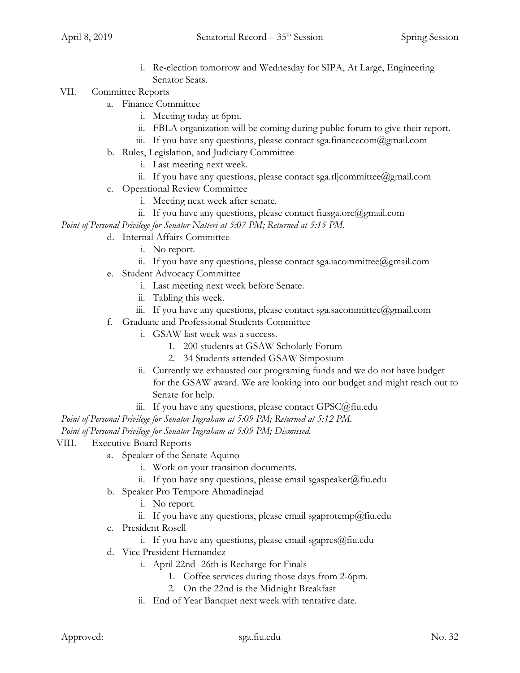i. Re-election tomorrow and Wednesday for SIPA, At Large, Engineering Senator Seats.

#### VII. Committee Reports

- a. Finance Committee
	- i. Meeting today at 6pm.
	- ii. FBLA organization will be coming during public forum to give their report.
	- iii. If you have any questions, please contact sga.financecom@gmail.com
- b. Rules, Legislation, and Judiciary Committee
	- i. Last meeting next week.
	- ii. If you have any questions, please contact sga.rljcommittee@gmail.com
- c. Operational Review Committee
	- i. Meeting next week after senate.
	- ii. If you have any questions, please contact fiusga.orc@gmail.com

*Point of Personal Privilege for Senator Natteri at 5:07 PM; Returned at 5:15 PM.*

### d. Internal Affairs Committee

- i. No report.
- ii. If you have any questions, please contact sga.iacommittee@gmail.com
- e. Student Advocacy Committee
	- i. Last meeting next week before Senate.
	- ii. Tabling this week.
	- iii. If you have any questions, please contact sga.sacommittee@gmail.com
- f. Graduate and Professional Students Committee
	- i. GSAW last week was a success.
		- 1. 200 students at GSAW Scholarly Forum
		- 2. 34 Students attended GSAW Simposium
	- ii. Currently we exhausted our programing funds and we do not have budget for the GSAW award. We are looking into our budget and might reach out to Senate for help.
	- iii. If you have any questions, please contact GPSC@fiu.edu

*Point of Personal Privilege for Senator Ingraham at 5:09 PM; Returned at 5:12 PM.*

*Point of Personal Privilege for Senator Ingraham at 5:09 PM; Dismissed.*

#### VIII. Executive Board Reports

- a. Speaker of the Senate Aquino
	- i. Work on your transition documents.
	- ii. If you have any questions, please email sgaspeaker@fiu.edu
- b. Speaker Pro Tempore Ahmadinejad
	- i. No report.
	- ii. If you have any questions, please email sgaprotemp@fiu.edu
- c. President Rosell
	- i. If you have any questions, please email sgapres $@$ fiu.edu
- d. Vice President Hernandez
	- i. April 22nd -26th is Recharge for Finals
		- 1. Coffee services during those days from 2-6pm.
		- 2. On the 22nd is the Midnight Breakfast
	- ii. End of Year Banquet next week with tentative date.